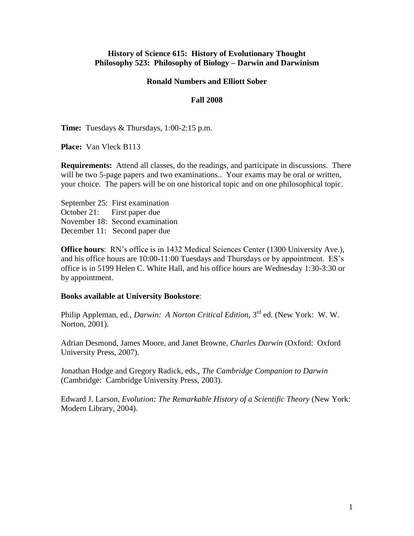### **History of Science 615: History of Evolutionary Thought Philosophy 523: Philosophy of Biology – Darwin and Darwinism**

#### **Ronald Numbers and Elliott Sober**

#### **Fall 2008**

**Time:** Tuesdays & Thursdays, 1:00-2:15 p.m.

**Place:** Van Vleck B113

**Requirements:** Attend all classes, do the readings, and participate in discussions. There will be two 5-page papers and two examinations.. Your exams may be oral or written, your choice. The papers will be on one historical topic and on one philosophical topic.

September 25: First examination October 21: First paper due November 18: Second examination December 11: Second paper due

**Office hours**: RN's office is in 1432 Medical Sciences Center (1300 University Ave.), and his office hours are 10:00-11:00 Tuesdays and Thursdays or by appointment. ES's office is in 5199 Helen C. White Hall, and his office hours are Wednesday 1:30-3:30 or by appointment.

#### **Books available at University Bookstore**:

Philip Appleman, ed., *Darwin: A Norton Critical Edition*, 3rd ed. (New York: W. W. Norton, 2001).

Adrian Desmond, James Moore, and Janet Browne, *Charles Darwin* (Oxford: Oxford University Press, 2007).

Jonathan Hodge and Gregory Radick, eds., *The Cambridge Companion to Darwin* (Cambridge: Cambridge University Press, 2003).

Edward J. Larson, *Evolution: The Remarkable History of a Scientific Theory* (New York: Modern Library, 2004).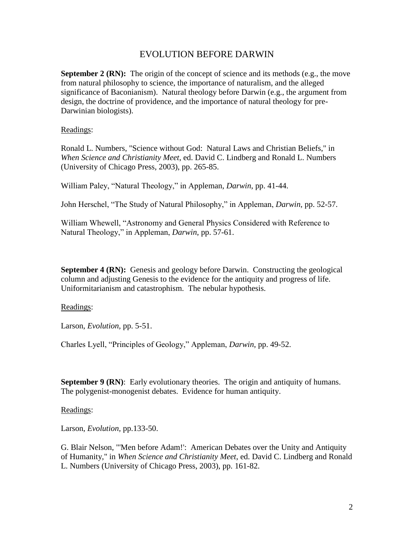# EVOLUTION BEFORE DARWIN

**September 2 (RN):** The origin of the concept of science and its methods (e.g., the move from natural philosophy to science, the importance of naturalism, and the alleged significance of Baconianism). Natural theology before Darwin (e.g., the argument from design, the doctrine of providence, and the importance of natural theology for pre-Darwinian biologists).

Readings:

Ronald L. Numbers, "Science without God: Natural Laws and Christian Beliefs," in *When Science and Christianity Meet*, ed. David C. Lindberg and Ronald L. Numbers (University of Chicago Press, 2003), pp. 265-85.

William Paley, "Natural Theology," in Appleman, *Darwin*, pp. 41-44.

John Herschel, "The Study of Natural Philosophy," in Appleman, *Darwin*, pp. 52-57.

William Whewell, "Astronomy and General Physics Considered with Reference to Natural Theology," in Appleman, *Darwin*, pp. 57-61.

**September 4 (RN):** Genesis and geology before Darwin. Constructing the geological column and adjusting Genesis to the evidence for the antiquity and progress of life. Uniformitarianism and catastrophism. The nebular hypothesis.

### Readings:

Larson, *Evolution,* pp. 5-51.

Charles Lyell, "Principles of Geology," Appleman, *Darwin*, pp. 49-52.

**September 9 (RN)**: Early evolutionary theories. The origin and antiquity of humans. The polygenist-monogenist debates. Evidence for human antiquity.

Readings:

Larson, *Evolution,* pp.133-50.

G. Blair Nelson, "'Men before Adam!': American Debates over the Unity and Antiquity of Humanity," in *When Science and Christianity Meet*, ed. David C. Lindberg and Ronald L. Numbers (University of Chicago Press, 2003), pp. 161-82.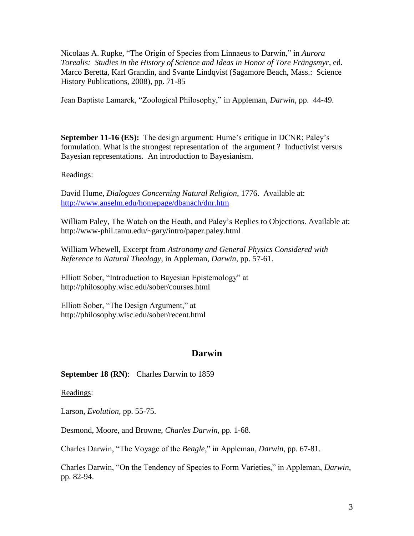Nicolaas A. Rupke, "The Origin of Species from Linnaeus to Darwin," in *Aurora Torealis: Studies in the History of Science and Ideas in Honor of Tore Frängsmyr*, ed. Marco Beretta, Karl Grandin, and Svante Lindqvist (Sagamore Beach, Mass.: Science History Publications, 2008), pp. 71-85

Jean Baptiste Lamarck, "Zoological Philosophy," in Appleman, *Darwin*, pp. 44-49.

**September 11-16 (ES):** The design argument: Hume's critique in DCNR; Paley's formulation. What is the strongest representation of the argument ? Inductivist versus Bayesian representations. An introduction to Bayesianism.

Readings:

David Hume, *Dialogues Concerning Natural Religion*, 1776. Available at: <http://www.anselm.edu/homepage/dbanach/dnr.htm>

William Paley, The Watch on the Heath, and Paley's Replies to Objections. Available at: http://www-phil.tamu.edu/~gary/intro/paper.paley.html

William Whewell, Excerpt from *Astronomy and General Physics Considered with Reference to Natural Theology*, in Appleman, *Darwin*, pp. 57-61.

Elliott Sober, "Introduction to Bayesian Epistemology" at http://philosophy.wisc.edu/sober/courses.html

Elliott Sober, "The Design Argument," at http://philosophy.wisc.edu/sober/recent.html

# **Darwin**

**September 18 (RN)**: Charles Darwin to 1859

Readings:

Larson, *Evolution,* pp. 55-75.

Desmond, Moore, and Browne, *Charles Darwin*, pp. 1-68.

Charles Darwin, "The Voyage of the *Beagle*," in Appleman, *Darwin*, pp. 67-81.

Charles Darwin, "On the Tendency of Species to Form Varieties," in Appleman, *Darwin*, pp. 82-94.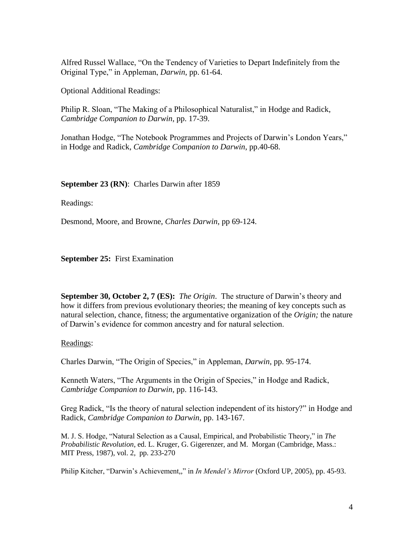Alfred Russel Wallace, "On the Tendency of Varieties to Depart Indefinitely from the Original Type," in Appleman, *Darwin*, pp. 61-64.

Optional Additional Readings:

Philip R. Sloan, "The Making of a Philosophical Naturalist," in Hodge and Radick, *Cambridge Companion to Darwin*, pp. 17-39.

Jonathan Hodge, "The Notebook Programmes and Projects of Darwin's London Years," in Hodge and Radick, *Cambridge Companion to Darwin*, pp.40-68.

**September 23 (RN)**: Charles Darwin after 1859

Readings:

Desmond, Moore, and Browne, *Charles Darwin*, pp 69-124.

**September 25:** First Examination

**September 30, October 2, 7 (ES):** *The Origin*.The structure of Darwin's theory and how it differs from previous evolutionary theories; the meaning of key concepts such as natural selection, chance, fitness; the argumentative organization of the *Origin;* the nature of Darwin's evidence for common ancestry and for natural selection.

Readings:

Charles Darwin, "The Origin of Species," in Appleman, *Darwin*, pp. 95-174.

Kenneth Waters, "The Arguments in the Origin of Species," in Hodge and Radick, *Cambridge Companion to Darwin*, pp. 116-143.

Greg Radick, "Is the theory of natural selection independent of its history?" in Hodge and Radick, *Cambridge Companion to Darwin*, pp. 143-167.

M. J. S. Hodge, "Natural Selection as a Causal, Empirical, and Probabilistic Theory," in *The Probabilistic Revolution*, ed. L. Kruger, G. Gigerenzer, and M. Morgan (Cambridge, Mass.: MIT Press, 1987), vol. 2, pp. 233-270

Philip Kitcher, "Darwin's Achievement,," in *In Mendel's Mirror* (Oxford UP, 2005), pp. 45-93.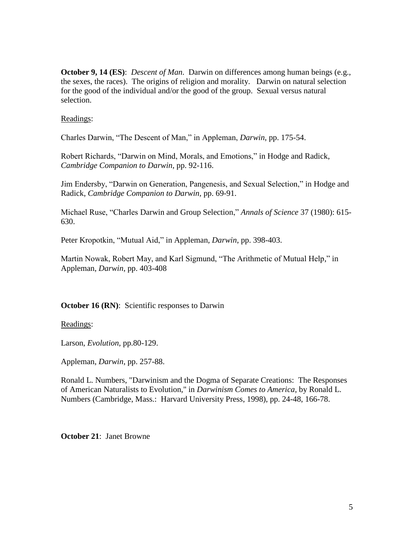**October 9, 14 (ES)**: *Descent of Man*. Darwin on differences among human beings (e.g., the sexes, the races). The origins of religion and morality. Darwin on natural selection for the good of the individual and/or the good of the group. Sexual versus natural selection.

### Readings:

Charles Darwin, "The Descent of Man," in Appleman, *Darwin*, pp. 175-54.

Robert Richards, "Darwin on Mind, Morals, and Emotions," in Hodge and Radick, *Cambridge Companion to Darwin*, pp. 92-116.

Jim Endersby, "Darwin on Generation, Pangenesis, and Sexual Selection," in Hodge and Radick, *Cambridge Companion to Darwin,* pp. 69-91.

Michael Ruse, "Charles Darwin and Group Selection," *Annals of Science* 37 (1980): 615- 630.

Peter Kropotkin, "Mutual Aid," in Appleman, *Darwin*, pp. 398-403.

Martin Nowak, Robert May, and Karl Sigmund, "The Arithmetic of Mutual Help," in Appleman, *Darwin*, pp. 403-408

### **October 16 (RN):** Scientific responses to Darwin

Readings:

Larson, *Evolution,* pp.80-129.

Appleman, *Darwin*, pp. 257-88.

Ronald L. Numbers, "Darwinism and the Dogma of Separate Creations: The Responses of American Naturalists to Evolution," in *Darwinism Comes to America*, by Ronald L. Numbers (Cambridge, Mass.: Harvard University Press, 1998), pp. 24-48, 166-78.

**October 21**: Janet Browne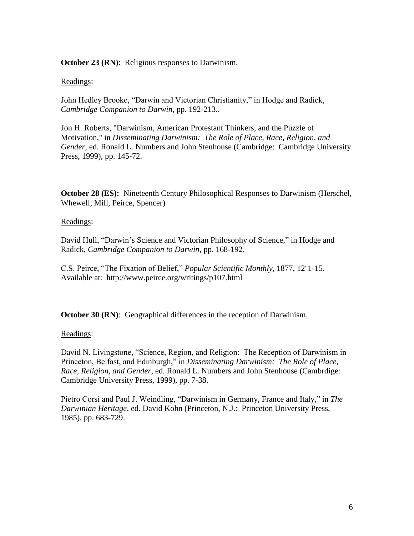**October 23 (RN)**: Religious responses to Darwinism.

## Readings:

John Hedley Brooke, "Darwin and Victorian Christianity," in Hodge and Radick, *Cambridge Companion to Darwin*, pp. 192-213..

Jon H. Roberts, "Darwinism, American Protestant Thinkers, and the Puzzle of Motivation," in *Disseminating Darwinism: The Role of Place, Race, Religion, and Gender*, ed. Ronald L. Numbers and John Stenhouse (Cambridge: Cambridge University Press, 1999), pp. 145-72.

**October 28 (ES):** Nineteenth Century Philosophical Responses to Darwinism (Herschel, Whewell, Mill, Peirce, Spencer)

## Readings:

David Hull, "Darwin's Science and Victorian Philosophy of Science," in Hodge and Radick, *Cambridge Companion to Darwin*, pp. 168-192.

C.S. Peirce, "The Fixation of Belief," *Popular Scientific Monthly*, 1877, 12¨1-15. Available at: http://www.peirce.org/writings/p107.html

**October 30 (RN):** Geographical differences in the reception of Darwinism.

# Readings:

David N. Livingstone, "Science, Region, and Religion: The Reception of Darwinism in Princeton, Belfast, and Edinburgh," in *Disseminating Darwinism: The Role of Place, Race, Religion, and Gender*, ed. Ronald L. Numbers and John Stenhouse (Cambrdige: Cambridge University Press, 1999), pp. 7-38.

Pietro Corsi and Paul J. Weindling, "Darwinism in Germany, France and Italy," in *The Darwinian Heritage*, ed. David Kohn (Princeton, N.J.: Princeton University Press, 1985), pp. 683-729.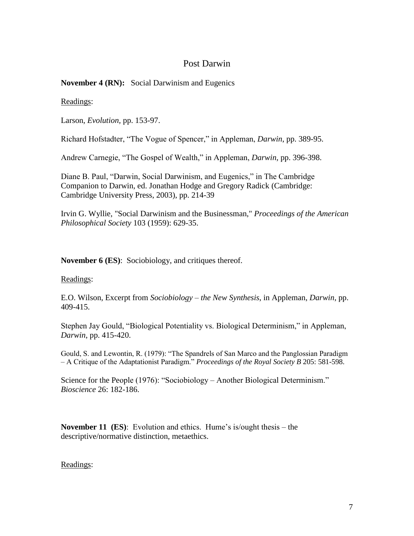# Post Darwin

## **November 4 (RN):** Social Darwinism and Eugenics

### Readings:

Larson, *Evolution,* pp. 153-97.

Richard Hofstadter, "The Vogue of Spencer," in Appleman, *Darwin*, pp. 389-95.

Andrew Carnegie, "The Gospel of Wealth," in Appleman, *Darwin*, pp. 396-398.

Diane B. Paul, "Darwin, Social Darwinism, and Eugenics," in The Cambridge Companion to Darwin, ed. Jonathan Hodge and Gregory Radick (Cambridge: Cambridge University Press, 2003), pp. 214-39

Irvin G. Wyllie, "Social Darwinism and the Businessman," *Proceedings of the American Philosophical Society* 103 (1959): 629-35.

**November 6 (ES)**: Sociobiology, and critiques thereof.

### Readings:

E.O. Wilson, Excerpt from *Sociobiology – the New Synthesis*, in Appleman, *Darwin*, pp. 409-415.

Stephen Jay Gould, "Biological Potentiality vs. Biological Determinism," in Appleman, *Darwin*, pp. 415-420.

Gould, S. and Lewontin, R. (1979): "The Spandrels of San Marco and the Panglossian Paradigm – A Critique of the Adaptationist Paradigm." *Proceedings of the Royal Society B* 205: 581-598.

Science for the People (1976): "Sociobiology – Another Biological Determinism." *Bioscience* 26: 182-186.

**November 11 (ES)**: Evolution and ethics. Hume's is/ought thesis – the descriptive/normative distinction, metaethics.

### Readings: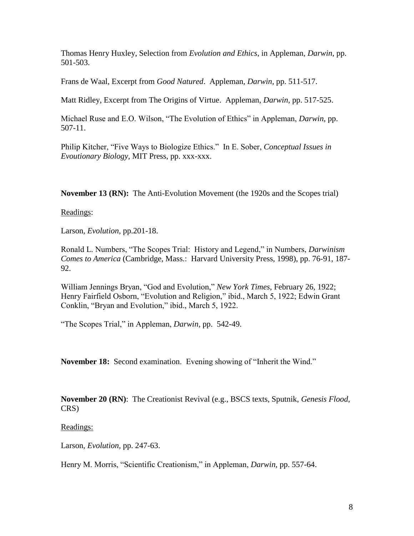Thomas Henry Huxley, Selection from *Evolution and Ethics*, in Appleman, *Darwin*, pp. 501-503.

Frans de Waal, Excerpt from *Good Natured*. Appleman*, Darwin*, pp. 511-517.

Matt Ridley, Excerpt from The Origins of Virtue. Appleman, *Darwin*, pp. 517-525.

Michael Ruse and E.O. Wilson, "The Evolution of Ethics" in Appleman, *Darwin*, pp. 507-11.

Philip Kitcher, "Five Ways to Biologize Ethics." In E. Sober, *Conceptual Issues in Evoutionary Biology*, MIT Press, pp. xxx-xxx.

**November 13 (RN):** The Anti-Evolution Movement (the 1920s and the Scopes trial)

Readings:

Larson, *Evolution,* pp.201-18.

Ronald L. Numbers, "The Scopes Trial: History and Legend," in Numbers, *Darwinism Comes to America* (Cambridge, Mass.: Harvard University Press, 1998), pp. 76-91, 187- 92.

William Jennings Bryan, "God and Evolution," *New York Times*, February 26, 1922; Henry Fairfield Osborn, "Evolution and Religion," ibid., March 5, 1922; Edwin Grant Conklin, "Bryan and Evolution," ibid., March 5, 1922.

"The Scopes Trial," in Appleman, *Darwin*, pp. 542-49.

**November 18:** Second examination. Evening showing of "Inherit the Wind."

**November 20 (RN)**: The Creationist Revival (e.g., BSCS texts, Sputnik, *Genesis Flood*, CRS)

Readings:

Larson, *Evolution,* pp. 247-63.

Henry M. Morris, "Scientific Creationism," in Appleman, *Darwin*, pp. 557-64.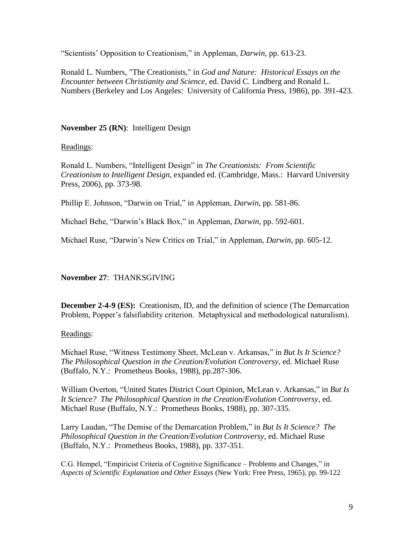"Scientists' Opposition to Creationism," in Appleman, *Darwin*, pp. 613-23.

Ronald L. Numbers, "The Creationists," in *God and Nature: Historical Essays on the Encounter between Christianity and Science*, ed. David C. Lindberg and Ronald L. Numbers (Berkeley and Los Angeles: University of California Press, 1986), pp. 391-423.

# **November 25 (RN)**: Intelligent Design

Readings:

Ronald L. Numbers, "Intelligent Design" in *The Creationists: From Scientific Creationism to Intelligent Design*, expanded ed. (Cambridge, Mass.: Harvard University Press, 2006), pp. 373-98.

Phillip E. Johnson, "Darwin on Trial," in Appleman, *Darwin*, pp. 581-86.

Michael Behe, "Darwin's Black Box," in Appleman, *Darwin*, pp. 592-601.

Michael Ruse, "Darwin's New Critics on Trial," in Appleman, *Darwin*, pp. 605-12.

# **November 27**: THANKSGIVING

**December 2-4-9 (ES):** Creationism, ID, and the definition of science (The Demarcation Problem, Popper's falsifiability criterion. Metaphysical and methodological naturalism).

Readings:

Michael Ruse, "Witness Testimony Sheet, McLean v. Arkansas," in *But Is It Science? The Philosophical Question in the Creation/Evolution Controversy*, ed. Michael Ruse (Buffalo, N.Y.: Prometheus Books, 1988), pp.287-306.

William Overton, "United States District Court Opinion, McLean v. Arkansas," in *But Is It Science? The Philosophical Question in the Creation/Evolution Controversy*, ed. Michael Ruse (Buffalo, N.Y.: Prometheus Books, 1988), pp. 307-335.

Larry Laudan, "The Demise of the Demarcation Problem," in *But Is It Science? The Philosophical Question in the Creation/Evolution Controversy*, ed. Michael Ruse (Buffalo, N.Y.: Prometheus Books, 1988), pp. 337-351.

C.G. Hempel, "Empiricist Criteria of Cognitive Significance – Problems and Changes," in *Aspects of Scientific Explanation and Other Essays* (New York: Free Press, 1965), pp. 99-122